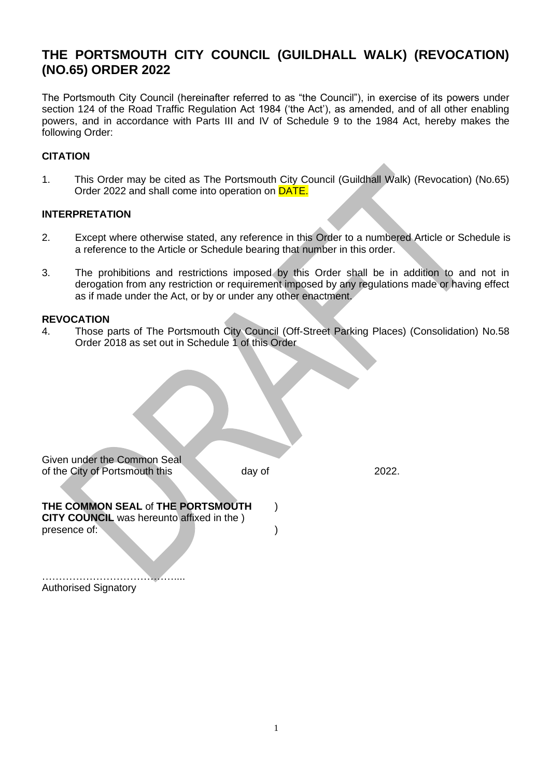# **THE PORTSMOUTH CITY COUNCIL (GUILDHALL WALK) (REVOCATION) (NO.65) ORDER 2022**

The Portsmouth City Council (hereinafter referred to as "the Council"), in exercise of its powers under section 124 of the Road Traffic Regulation Act 1984 ('the Act'), as amended, and of all other enabling powers, and in accordance with Parts III and IV of Schedule 9 to the 1984 Act, hereby makes the following Order:

### **CITATION**

1. This Order may be cited as The Portsmouth City Council (Guildhall Walk) (Revocation) (No.65) Order 2022 and shall come into operation on DATE.

#### **INTERPRETATION**

- 2. Except where otherwise stated, any reference in this Order to a numbered Article or Schedule is a reference to the Article or Schedule bearing that number in this order.
- 3. The prohibitions and restrictions imposed by this Order shall be in addition to and not in derogation from any restriction or requirement imposed by any regulations made or having effect as if made under the Act, or by or under any other enactment.

#### **REVOCATION**

4. Those parts of The Portsmouth City Council (Off-Street Parking Places) (Consolidation) No.58 Order 2018 as set out in Schedule 1 of this Order

| Given under the Common Seal                       |        |       |
|---------------------------------------------------|--------|-------|
| of the City of Portsmouth this                    | day of | 2022. |
| THE COMMON SEAL of THE PORTSMOUTH                 |        |       |
| <b>CITY COUNCIL</b> was hereunto affixed in the ) |        |       |
| presence of:                                      |        |       |

………………………………….... Authorised Signatory